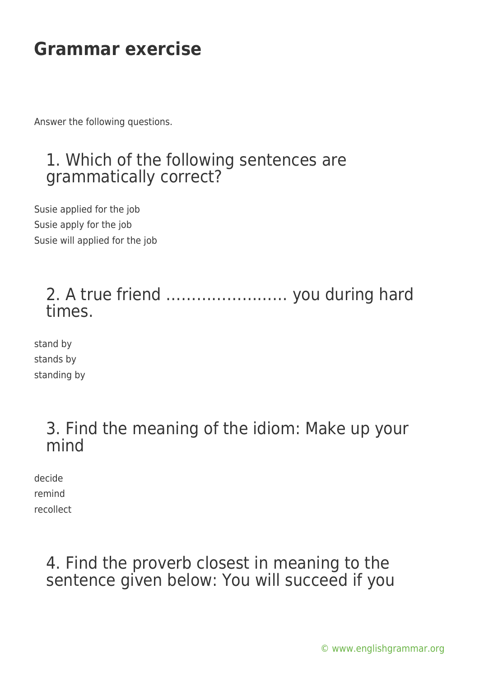Answer the following questions.

## 1. Which of the following sentences are grammatically correct?

Susie applied for the job Susie apply for the job Susie will applied for the job

## 2. A true friend …………………… you during hard times.

stand by stands by standing by

#### 3. Find the meaning of the idiom: Make up your mind

decide remind recollect

## 4. Find the proverb closest in meaning to the sentence given below: You will succeed if you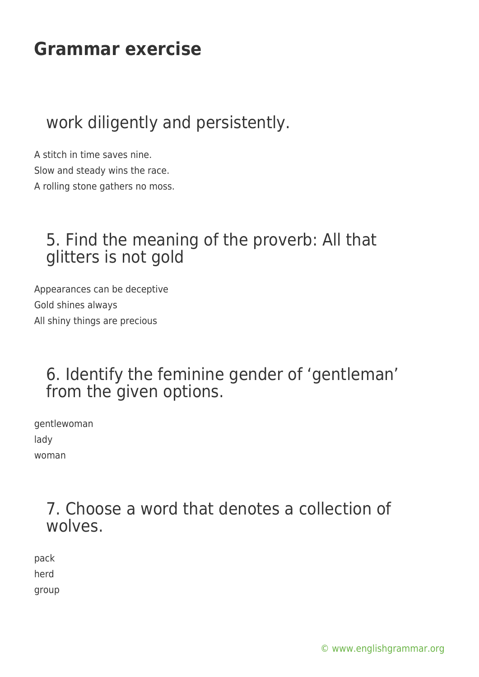## work diligently and persistently.

A stitch in time saves nine. Slow and steady wins the race. A rolling stone gathers no moss.

## 5. Find the meaning of the proverb: All that glitters is not gold

Appearances can be deceptive Gold shines always All shiny things are precious

### 6. Identify the feminine gender of 'gentleman' from the given options.

gentlewoman lady woman

#### 7. Choose a word that denotes a collection of wolves.

pack herd group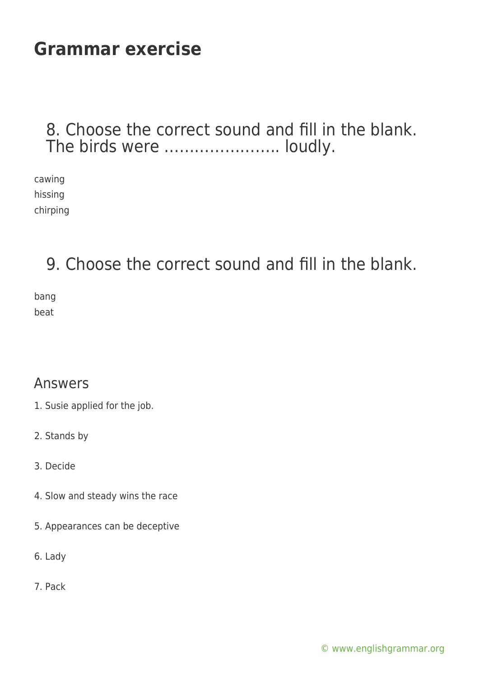#### 8. Choose the correct sound and fill in the blank. The birds were ......................... loudly.

cawing hissing chirping

## 9. Choose the correct sound and fill in the blank.

bang beat

#### Answers

- 1. Susie applied for the job.
- 2. Stands by
- 3. Decide
- 4. Slow and steady wins the race
- 5. Appearances can be deceptive
- 6. Lady
- 7. Pack